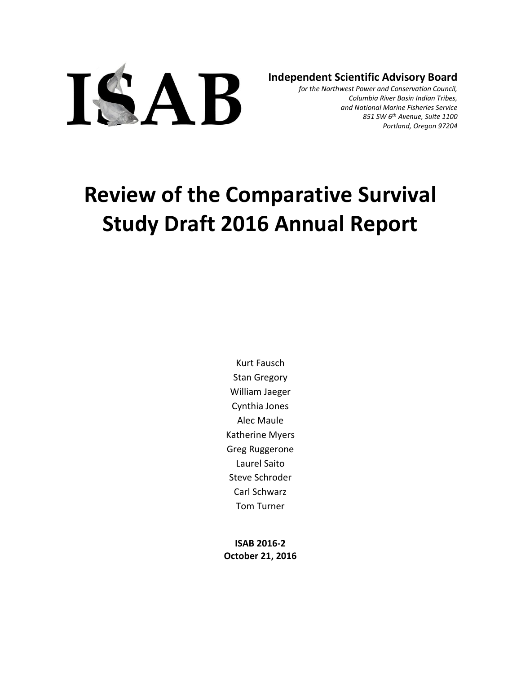

**Independent Scientific Advisory Board**

*for the Northwest Power and Conservation Council, Columbia River Basin Indian Tribes, and National Marine Fisheries Service 851 SW 6th Avenue, Suite 1100 Portland, Oregon 97204*

# **Review of the Comparative Survival Study Draft 2016 Annual Report**

Kurt Fausch Stan Gregory William Jaeger Cynthia Jones Alec Maule Katherine Myers Greg Ruggerone Laurel Saito Steve Schroder Carl Schwarz Tom Turner

**ISAB 2016-2 October 21, 2016**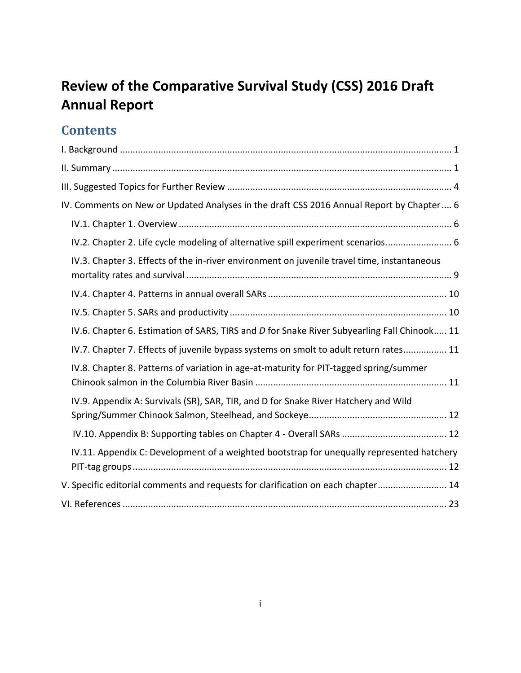# **Review of the Comparative Survival Study (CSS) 2016 Draft Annual Report**

# **Contents**

| IV. Comments on New or Updated Analyses in the draft CSS 2016 Annual Report by Chapter 6    |
|---------------------------------------------------------------------------------------------|
|                                                                                             |
| IV.2. Chapter 2. Life cycle modeling of alternative spill experiment scenarios 6            |
| IV.3. Chapter 3. Effects of the in-river environment on juvenile travel time, instantaneous |
|                                                                                             |
|                                                                                             |
| IV.6. Chapter 6. Estimation of SARS, TIRS and D for Snake River Subyearling Fall Chinook 11 |
| IV.7. Chapter 7. Effects of juvenile bypass systems on smolt to adult return rates 11       |
| IV.8. Chapter 8. Patterns of variation in age-at-maturity for PIT-tagged spring/summer      |
| IV.9. Appendix A: Survivals (SR), SAR, TIR, and D for Snake River Hatchery and Wild         |
|                                                                                             |
| IV.11. Appendix C: Development of a weighted bootstrap for unequally represented hatchery   |
| V. Specific editorial comments and requests for clarification on each chapter 14            |
|                                                                                             |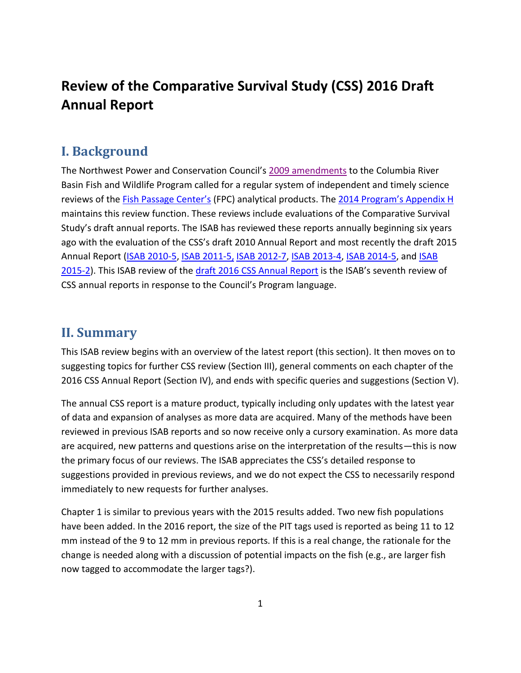# <span id="page-2-0"></span>**Review of the Comparative Survival Study (CSS) 2016 Draft Annual Report**

### **I. Background**

The Northwest Power and Conservation Council's [2009 amendments](http://www.nwcouncil.org/library/2009/2009-09) to the Columbia River Basin Fish and Wildlife Program called for a regular system of independent and timely science reviews of the [Fish Passage Center's](http://www.fpc.org/) (FPC) analytical products. The [2014 Program's Appendix H](http://www.nwcouncil.org/fw/program/2014-12/program/) maintains this review function. These reviews include evaluations of the Comparative Survival Study's draft annual reports. The ISAB has reviewed these reports annually beginning six years ago with the evaluation of the CSS's draft 2010 Annual Report and most recently the draft 2015 Annual Report [\(ISAB 2010-5,](http://www.nwcouncil.org/fw/isab/isab2010-5) [ISAB 2011-5,](http://www.nwcouncil.org/fw/isab/isab2011-5) [ISAB 2012-7,](http://www.nwcouncil.org/fw/isab/isab2012-7/) [ISAB 2013-4,](http://www.nwcouncil.org/fw/isab/isab2013-4) [ISAB 2014-5,](http://www.nwcouncil.org/fw/isab/isab2014-5) and ISAB [2015-2\)](http://www.nwcouncil.org/fw/isrp/isrp2015-2/). This ISAB review of the draft 2016 [CSS Annual Report](http://www.fpc.org/documents/CSS/Draft_CSS_2016_1.pdf) is the ISAB's seventh review of CSS annual reports in response to the Council's Program language.

#### <span id="page-2-1"></span>**II. Summary**

This ISAB review begins with an overview of the latest report (this section). It then moves on to suggesting topics for further CSS review (Section III), general comments on each chapter of the 2016 CSS Annual Report (Section IV), and ends with specific queries and suggestions (Section V).

The annual CSS report is a mature product, typically including only updates with the latest year of data and expansion of analyses as more data are acquired. Many of the methods have been reviewed in previous ISAB reports and so now receive only a cursory examination. As more data are acquired, new patterns and questions arise on the interpretation of the results—this is now the primary focus of our reviews. The ISAB appreciates the CSS's detailed response to suggestions provided in previous reviews, and we do not expect the CSS to necessarily respond immediately to new requests for further analyses.

Chapter 1 is similar to previous years with the 2015 results added. Two new fish populations have been added. In the 2016 report, the size of the PIT tags used is reported as being 11 to 12 mm instead of the 9 to 12 mm in previous reports. If this is a real change, the rationale for the change is needed along with a discussion of potential impacts on the fish (e.g., are larger fish now tagged to accommodate the larger tags?).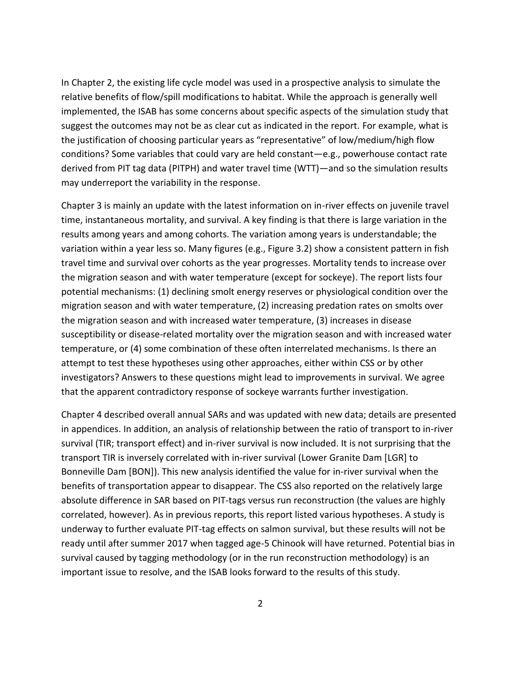In Chapter 2, the existing life cycle model was used in a prospective analysis to simulate the relative benefits of flow/spill modifications to habitat. While the approach is generally well implemented, the ISAB has some concerns about specific aspects of the simulation study that suggest the outcomes may not be as clear cut as indicated in the report. For example, what is the justification of choosing particular years as "representative" of low/medium/high flow conditions? Some variables that could vary are held constant—e.g., powerhouse contact rate derived from PIT tag data (PITPH) and water travel time (WTT)—and so the simulation results may underreport the variability in the response.

Chapter 3 is mainly an update with the latest information on in-river effects on juvenile travel time, instantaneous mortality, and survival. A key finding is that there is large variation in the results among years and among cohorts. The variation among years is understandable; the variation within a year less so. Many figures (e.g., Figure 3.2) show a consistent pattern in fish travel time and survival over cohorts as the year progresses. Mortality tends to increase over the migration season and with water temperature (except for sockeye). The report lists four potential mechanisms: (1) declining smolt energy reserves or physiological condition over the migration season and with water temperature, (2) increasing predation rates on smolts over the migration season and with increased water temperature, (3) increases in disease susceptibility or disease-related mortality over the migration season and with increased water temperature, or (4) some combination of these often interrelated mechanisms. Is there an attempt to test these hypotheses using other approaches, either within CSS or by other investigators? Answers to these questions might lead to improvements in survival. We agree that the apparent contradictory response of sockeye warrants further investigation.

Chapter 4 described overall annual SARs and was updated with new data; details are presented in appendices. In addition, an analysis of relationship between the ratio of transport to in-river survival (TIR; transport effect) and in-river survival is now included. It is not surprising that the transport TIR is inversely correlated with in-river survival (Lower Granite Dam [LGR] to Bonneville Dam [BON]). This new analysis identified the value for in-river survival when the benefits of transportation appear to disappear. The CSS also reported on the relatively large absolute difference in SAR based on PIT-tags versus run reconstruction (the values are highly correlated, however). As in previous reports, this report listed various hypotheses. A study is underway to further evaluate PIT-tag effects on salmon survival, but these results will not be ready until after summer 2017 when tagged age-5 Chinook will have returned. Potential bias in survival caused by tagging methodology (or in the run reconstruction methodology) is an important issue to resolve, and the ISAB looks forward to the results of this study.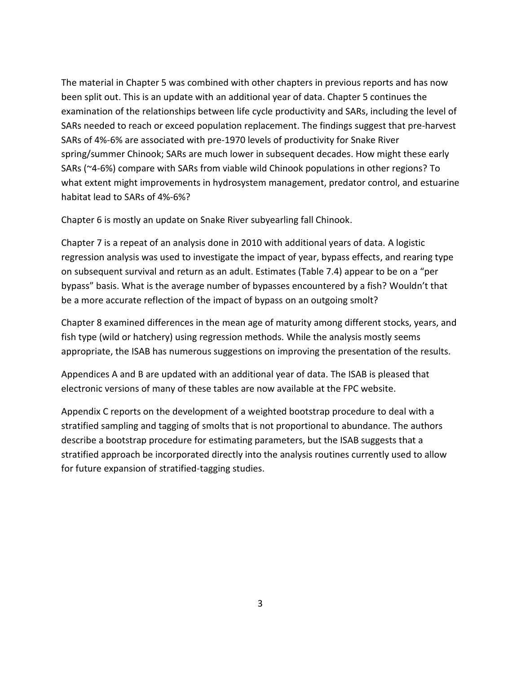The material in Chapter 5 was combined with other chapters in previous reports and has now been split out. This is an update with an additional year of data. Chapter 5 continues the examination of the relationships between life cycle productivity and SARs, including the level of SARs needed to reach or exceed population replacement. The findings suggest that pre-harvest SARs of 4%-6% are associated with pre-1970 levels of productivity for Snake River spring/summer Chinook; SARs are much lower in subsequent decades. How might these early SARs (~4-6%) compare with SARs from viable wild Chinook populations in other regions? To what extent might improvements in hydrosystem management, predator control, and estuarine habitat lead to SARs of 4%-6%?

Chapter 6 is mostly an update on Snake River subyearling fall Chinook.

Chapter 7 is a repeat of an analysis done in 2010 with additional years of data. A logistic regression analysis was used to investigate the impact of year, bypass effects, and rearing type on subsequent survival and return as an adult. Estimates (Table 7.4) appear to be on a "per bypass" basis. What is the average number of bypasses encountered by a fish? Wouldn't that be a more accurate reflection of the impact of bypass on an outgoing smolt?

Chapter 8 examined differences in the mean age of maturity among different stocks, years, and fish type (wild or hatchery) using regression methods. While the analysis mostly seems appropriate, the ISAB has numerous suggestions on improving the presentation of the results.

Appendices A and B are updated with an additional year of data. The ISAB is pleased that electronic versions of many of these tables are now available at the FPC website.

<span id="page-4-0"></span>Appendix C reports on the development of a weighted bootstrap procedure to deal with a stratified sampling and tagging of smolts that is not proportional to abundance. The authors describe a bootstrap procedure for estimating parameters, but the ISAB suggests that a stratified approach be incorporated directly into the analysis routines currently used to allow for future expansion of stratified-tagging studies.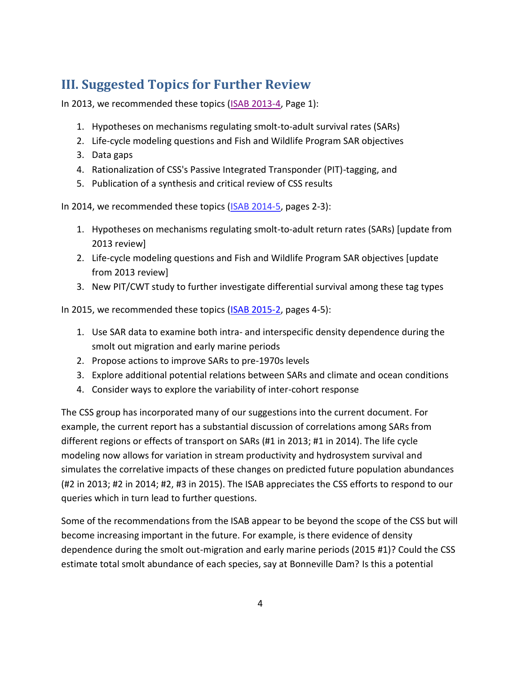# **III. Suggested Topics for Further Review**

In 2013, we recommended these topics [\(ISAB 2013-4,](http://www.nwcouncil.org/fw/isab/isab2013-4/) Page 1):

- 1. Hypotheses on mechanisms regulating smolt-to-adult survival rates (SARs)
- 2. Life-cycle modeling questions and Fish and Wildlife Program SAR objectives
- 3. Data gaps
- 4. Rationalization of CSS's Passive Integrated Transponder (PIT)-tagging, and
- 5. Publication of a synthesis and critical review of CSS results

In 2014, we recommended these topics [\(ISAB 2014-5,](http://www.nwcouncil.org/fw/isab/isab2014-5/) pages 2-3):

- 1. Hypotheses on mechanisms regulating smolt-to-adult return rates (SARs) [update from 2013 review]
- 2. Life-cycle modeling questions and Fish and Wildlife Program SAR objectives [update from 2013 review]
- 3. New PIT/CWT study to further investigate differential survival among these tag types

In 2015, we recommended these topics [\(ISAB 2015-2,](http://www.nwcouncil.org/fw/isab/isab2015-2) pages 4-5):

- 1. Use SAR data to examine both intra- and interspecific density dependence during the smolt out migration and early marine periods
- 2. Propose actions to improve SARs to pre-1970s levels
- 3. Explore additional potential relations between SARs and climate and ocean conditions
- 4. Consider ways to explore the variability of inter-cohort response

The CSS group has incorporated many of our suggestions into the current document. For example, the current report has a substantial discussion of correlations among SARs from different regions or effects of transport on SARs (#1 in 2013; #1 in 2014). The life cycle modeling now allows for variation in stream productivity and hydrosystem survival and simulates the correlative impacts of these changes on predicted future population abundances (#2 in 2013; #2 in 2014; #2, #3 in 2015). The ISAB appreciates the CSS efforts to respond to our queries which in turn lead to further questions.

Some of the recommendations from the ISAB appear to be beyond the scope of the CSS but will become increasing important in the future. For example, is there evidence of density dependence during the smolt out-migration and early marine periods (2015 #1)? Could the CSS estimate total smolt abundance of each species, say at Bonneville Dam? Is this a potential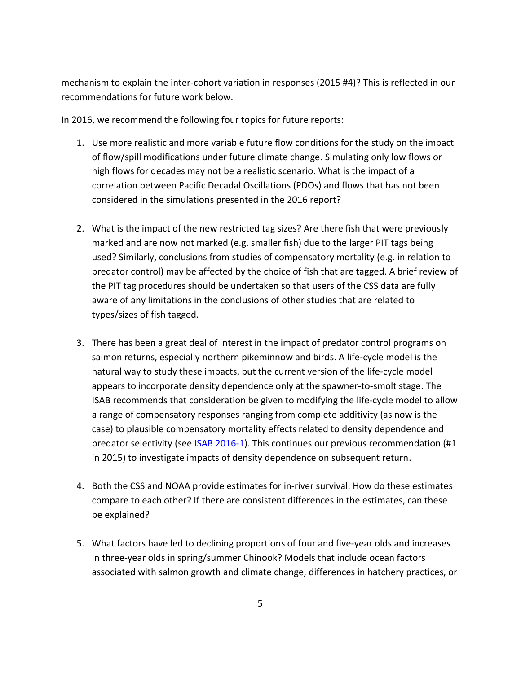mechanism to explain the inter-cohort variation in responses (2015 #4)? This is reflected in our recommendations for future work below.

In 2016, we recommend the following four topics for future reports:

- 1. Use more realistic and more variable future flow conditions for the study on the impact of flow/spill modifications under future climate change. Simulating only low flows or high flows for decades may not be a realistic scenario. What is the impact of a correlation between Pacific Decadal Oscillations (PDOs) and flows that has not been considered in the simulations presented in the 2016 report?
- 2. What is the impact of the new restricted tag sizes? Are there fish that were previously marked and are now not marked (e.g. smaller fish) due to the larger PIT tags being used? Similarly, conclusions from studies of compensatory mortality (e.g. in relation to predator control) may be affected by the choice of fish that are tagged. A brief review of the PIT tag procedures should be undertaken so that users of the CSS data are fully aware of any limitations in the conclusions of other studies that are related to types/sizes of fish tagged.
- 3. There has been a great deal of interest in the impact of predator control programs on salmon returns, especially northern pikeminnow and birds. A life-cycle model is the natural way to study these impacts, but the current version of the life-cycle model appears to incorporate density dependence only at the spawner-to-smolt stage. The ISAB recommends that consideration be given to modifying the life-cycle model to allow a range of compensatory responses ranging from complete additivity (as now is the case) to plausible compensatory mortality effects related to density dependence and predator selectivity (see **ISAB 2016-1**). This continues our previous recommendation (#1 in 2015) to investigate impacts of density dependence on subsequent return.
- 4. Both the CSS and NOAA provide estimates for in-river survival. How do these estimates compare to each other? If there are consistent differences in the estimates, can these be explained?
- 5. What factors have led to declining proportions of four and five-year olds and increases in three-year olds in spring/summer Chinook? Models that include ocean factors associated with salmon growth and climate change, differences in hatchery practices, or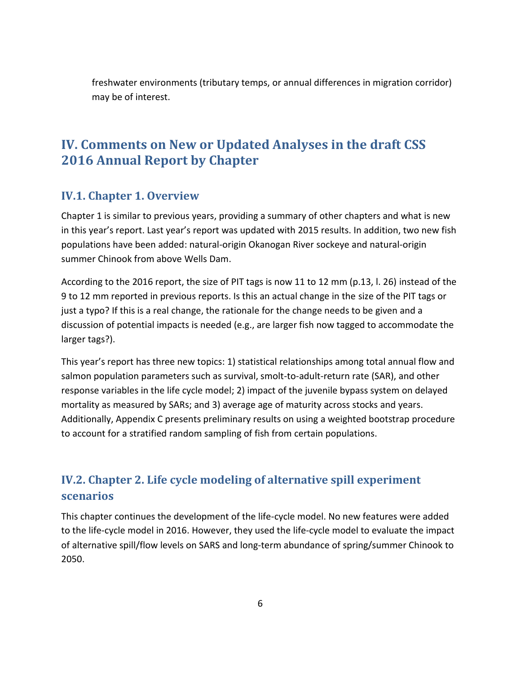freshwater environments (tributary temps, or annual differences in migration corridor) may be of interest.

## <span id="page-7-0"></span>**IV. Comments on New or Updated Analyses in the draft CSS 2016 Annual Report by Chapter**

#### <span id="page-7-1"></span>**IV.1. Chapter 1. Overview**

Chapter 1 is similar to previous years, providing a summary of other chapters and what is new in this year's report. Last year's report was updated with 2015 results. In addition, two new fish populations have been added: natural-origin Okanogan River sockeye and natural-origin summer Chinook from above Wells Dam.

According to the 2016 report, the size of PIT tags is now 11 to 12 mm (p.13, l. 26) instead of the 9 to 12 mm reported in previous reports. Is this an actual change in the size of the PIT tags or just a typo? If this is a real change, the rationale for the change needs to be given and a discussion of potential impacts is needed (e.g., are larger fish now tagged to accommodate the larger tags?).

This year's report has three new topics: 1) statistical relationships among total annual flow and salmon population parameters such as survival, smolt-to-adult-return rate (SAR), and other response variables in the life cycle model; 2) impact of the juvenile bypass system on delayed mortality as measured by SARs; and 3) average age of maturity across stocks and years. Additionally, Appendix C presents preliminary results on using a weighted bootstrap procedure to account for a stratified random sampling of fish from certain populations.

## <span id="page-7-2"></span>**IV.2. Chapter 2. Life cycle modeling of alternative spill experiment scenarios**

This chapter continues the development of the life-cycle model. No new features were added to the life-cycle model in 2016. However, they used the life-cycle model to evaluate the impact of alternative spill/flow levels on SARS and long-term abundance of spring/summer Chinook to 2050.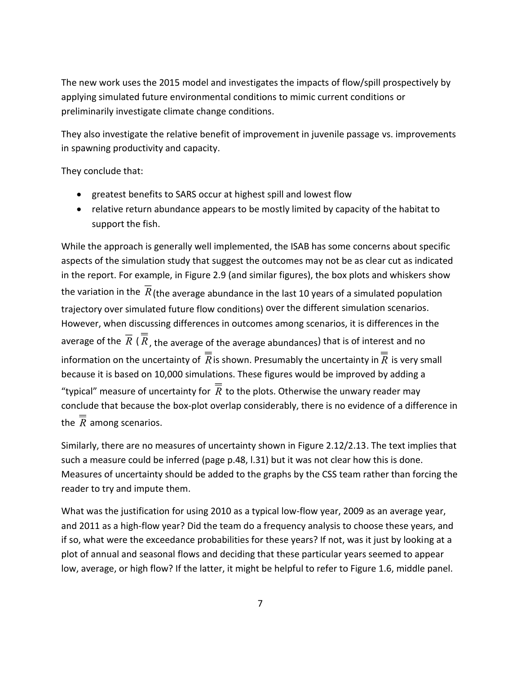The new work uses the 2015 model and investigates the impacts of flow/spill prospectively by applying simulated future environmental conditions to mimic current conditions or preliminarily investigate climate change conditions.

They also investigate the relative benefit of improvement in juvenile passage vs. improvements in spawning productivity and capacity.

#### They conclude that:

- greatest benefits to SARS occur at highest spill and lowest flow
- relative return abundance appears to be mostly limited by capacity of the habitat to support the fish.

While the approach is generally well implemented, the ISAB has some concerns about specific aspects of the simulation study that suggest the outcomes may not be as clear cut as indicated in the report. For example, in Figure 2.9 (and similar figures), the box plots and whiskers show the variation in the  $R$  (the average abundance in the last 10 years of a simulated population trajectory over simulated future flow conditions) over the different simulation scenarios. However, when discussing differences in outcomes among scenarios, it is differences in the average of the  $R$  (  $R$  , the average of the average abundances) that is of interest and no information on the uncertainty of  $R$  is shown. Presumably the uncertainty in  $R$  is very small because it is based on 10,000 simulations. These figures would be improved by adding a "typical" measure of uncertainty for  $R$  to the plots. Otherwise the unwary reader may conclude that because the box-plot overlap considerably, there is no evidence of a difference in the *R* among scenarios.

Similarly, there are no measures of uncertainty shown in Figure 2.12/2.13. The text implies that such a measure could be inferred (page p.48, l.31) but it was not clear how this is done. Measures of uncertainty should be added to the graphs by the CSS team rather than forcing the reader to try and impute them.

What was the justification for using 2010 as a typical low-flow year, 2009 as an average year, and 2011 as a high-flow year? Did the team do a frequency analysis to choose these years, and if so, what were the exceedance probabilities for these years? If not, was it just by looking at a plot of annual and seasonal flows and deciding that these particular years seemed to appear low, average, or high flow? If the latter, it might be helpful to refer to Figure 1.6, middle panel.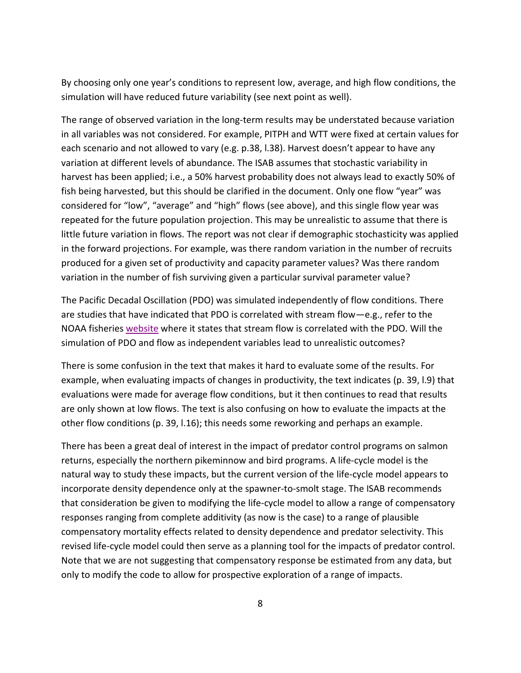By choosing only one year's conditions to represent low, average, and high flow conditions, the simulation will have reduced future variability (see next point as well).

The range of observed variation in the long-term results may be understated because variation in all variables was not considered. For example, PITPH and WTT were fixed at certain values for each scenario and not allowed to vary (e.g. p.38, l.38). Harvest doesn't appear to have any variation at different levels of abundance. The ISAB assumes that stochastic variability in harvest has been applied; i.e., a 50% harvest probability does not always lead to exactly 50% of fish being harvested, but this should be clarified in the document. Only one flow "year" was considered for "low", "average" and "high" flows (see above), and this single flow year was repeated for the future population projection. This may be unrealistic to assume that there is little future variation in flows. The report was not clear if demographic stochasticity was applied in the forward projections. For example, was there random variation in the number of recruits produced for a given set of productivity and capacity parameter values? Was there random variation in the number of fish surviving given a particular survival parameter value?

The Pacific Decadal Oscillation (PDO) was simulated independently of flow conditions. There are studies that have indicated that PDO is correlated with stream flow—e.g., refer to the NOAA fisheries [website](https://www.nwfsc.noaa.gov/research/divisions/fe/estuarine/oeip/ca-pdo.cfm) where it states that stream flow is correlated with the PDO. Will the simulation of PDO and flow as independent variables lead to unrealistic outcomes?

There is some confusion in the text that makes it hard to evaluate some of the results. For example, when evaluating impacts of changes in productivity, the text indicates (p. 39, l.9) that evaluations were made for average flow conditions, but it then continues to read that results are only shown at low flows. The text is also confusing on how to evaluate the impacts at the other flow conditions (p. 39, l.16); this needs some reworking and perhaps an example.

There has been a great deal of interest in the impact of predator control programs on salmon returns, especially the northern pikeminnow and bird programs. A life-cycle model is the natural way to study these impacts, but the current version of the life-cycle model appears to incorporate density dependence only at the spawner-to-smolt stage. The ISAB recommends that consideration be given to modifying the life-cycle model to allow a range of compensatory responses ranging from complete additivity (as now is the case) to a range of plausible compensatory mortality effects related to density dependence and predator selectivity. This revised life-cycle model could then serve as a planning tool for the impacts of predator control. Note that we are not suggesting that compensatory response be estimated from any data, but only to modify the code to allow for prospective exploration of a range of impacts.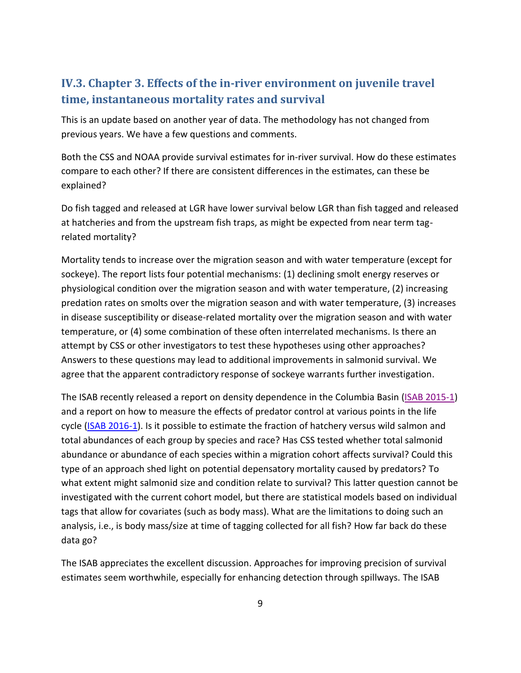#### <span id="page-10-0"></span>**IV.3. Chapter 3. Effects of the in-river environment on juvenile travel time, instantaneous mortality rates and survival**

This is an update based on another year of data. The methodology has not changed from previous years. We have a few questions and comments.

Both the CSS and NOAA provide survival estimates for in-river survival. How do these estimates compare to each other? If there are consistent differences in the estimates, can these be explained?

Do fish tagged and released at LGR have lower survival below LGR than fish tagged and released at hatcheries and from the upstream fish traps, as might be expected from near term tagrelated mortality?

Mortality tends to increase over the migration season and with water temperature (except for sockeye). The report lists four potential mechanisms: (1) declining smolt energy reserves or physiological condition over the migration season and with water temperature, (2) increasing predation rates on smolts over the migration season and with water temperature, (3) increases in disease susceptibility or disease-related mortality over the migration season and with water temperature, or (4) some combination of these often interrelated mechanisms. Is there an attempt by CSS or other investigators to test these hypotheses using other approaches? Answers to these questions may lead to additional improvements in salmonid survival. We agree that the apparent contradictory response of sockeye warrants further investigation.

The ISAB recently released a report on density dependence in the Columbia Basin [\(ISAB 2015-1\)](http://www.nwcouncil.org/fw/isab/isab2015-1) and a report on how to measure the effects of predator control at various points in the life cycle [\(ISAB 2016-1\)](http://www.nwcouncil.org/fw/isab/isab2016-1). Is it possible to estimate the fraction of hatchery versus wild salmon and total abundances of each group by species and race? Has CSS tested whether total salmonid abundance or abundance of each species within a migration cohort affects survival? Could this type of an approach shed light on potential depensatory mortality caused by predators? To what extent might salmonid size and condition relate to survival? This latter question cannot be investigated with the current cohort model, but there are statistical models based on individual tags that allow for covariates (such as body mass). What are the limitations to doing such an analysis, i.e., is body mass/size at time of tagging collected for all fish? How far back do these data go?

The ISAB appreciates the excellent discussion. Approaches for improving precision of survival estimates seem worthwhile, especially for enhancing detection through spillways. The ISAB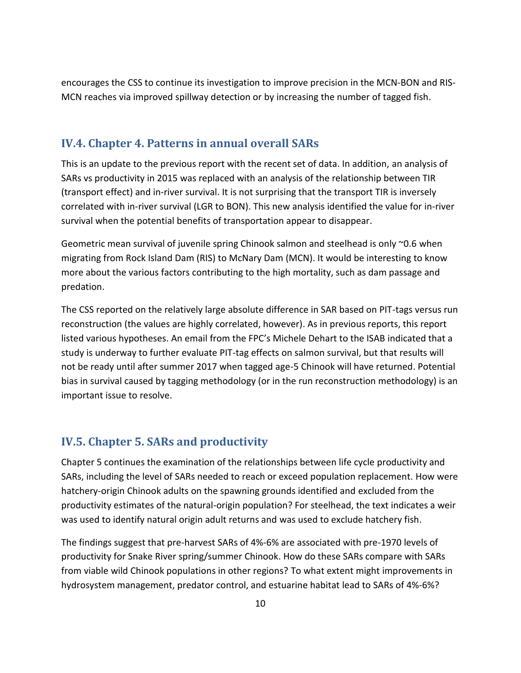encourages the CSS to continue its investigation to improve precision in the MCN-BON and RIS-MCN reaches via improved spillway detection or by increasing the number of tagged fish.

#### <span id="page-11-0"></span>**IV.4. Chapter 4. Patterns in annual overall SARs**

This is an update to the previous report with the recent set of data. In addition, an analysis of SARs vs productivity in 2015 was replaced with an analysis of the relationship between TIR (transport effect) and in-river survival. It is not surprising that the transport TIR is inversely correlated with in-river survival (LGR to BON). This new analysis identified the value for in-river survival when the potential benefits of transportation appear to disappear.

Geometric mean survival of juvenile spring Chinook salmon and steelhead is only ~0.6 when migrating from Rock Island Dam (RIS) to McNary Dam (MCN). It would be interesting to know more about the various factors contributing to the high mortality, such as dam passage and predation.

The CSS reported on the relatively large absolute difference in SAR based on PIT-tags versus run reconstruction (the values are highly correlated, however). As in previous reports, this report listed various hypotheses. An email from the FPC's Michele Dehart to the ISAB indicated that a study is underway to further evaluate PIT-tag effects on salmon survival, but that results will not be ready until after summer 2017 when tagged age-5 Chinook will have returned. Potential bias in survival caused by tagging methodology (or in the run reconstruction methodology) is an important issue to resolve.

#### <span id="page-11-1"></span>**IV.5. Chapter 5. SARs and productivity**

Chapter 5 continues the examination of the relationships between life cycle productivity and SARs, including the level of SARs needed to reach or exceed population replacement. How were hatchery-origin Chinook adults on the spawning grounds identified and excluded from the productivity estimates of the natural-origin population? For steelhead, the text indicates a weir was used to identify natural origin adult returns and was used to exclude hatchery fish.

The findings suggest that pre-harvest SARs of 4%-6% are associated with pre-1970 levels of productivity for Snake River spring/summer Chinook. How do these SARs compare with SARs from viable wild Chinook populations in other regions? To what extent might improvements in hydrosystem management, predator control, and estuarine habitat lead to SARs of 4%-6%?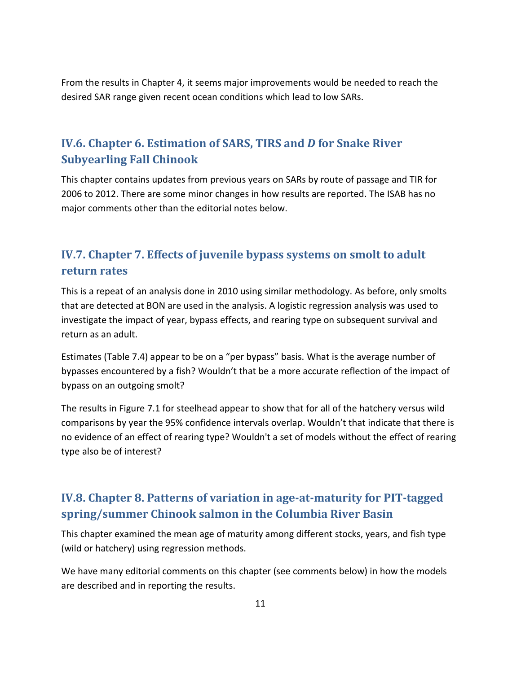From the results in Chapter 4, it seems major improvements would be needed to reach the desired SAR range given recent ocean conditions which lead to low SARs.

#### <span id="page-12-0"></span>**IV.6. Chapter 6. Estimation of SARS, TIRS and** *D* **for Snake River Subyearling Fall Chinook**

This chapter contains updates from previous years on SARs by route of passage and TIR for 2006 to 2012. There are some minor changes in how results are reported. The ISAB has no major comments other than the editorial notes below.

#### <span id="page-12-1"></span>**IV.7. Chapter 7. Effects of juvenile bypass systems on smolt to adult return rates**

This is a repeat of an analysis done in 2010 using similar methodology. As before, only smolts that are detected at BON are used in the analysis. A logistic regression analysis was used to investigate the impact of year, bypass effects, and rearing type on subsequent survival and return as an adult.

Estimates (Table 7.4) appear to be on a "per bypass" basis. What is the average number of bypasses encountered by a fish? Wouldn't that be a more accurate reflection of the impact of bypass on an outgoing smolt?

The results in Figure 7.1 for steelhead appear to show that for all of the hatchery versus wild comparisons by year the 95% confidence intervals overlap. Wouldn't that indicate that there is no evidence of an effect of rearing type? Wouldn't a set of models without the effect of rearing type also be of interest?

#### <span id="page-12-2"></span>**IV.8. Chapter 8. Patterns of variation in age-at-maturity for PIT-tagged spring/summer Chinook salmon in the Columbia River Basin**

This chapter examined the mean age of maturity among different stocks, years, and fish type (wild or hatchery) using regression methods.

We have many editorial comments on this chapter (see comments below) in how the models are described and in reporting the results.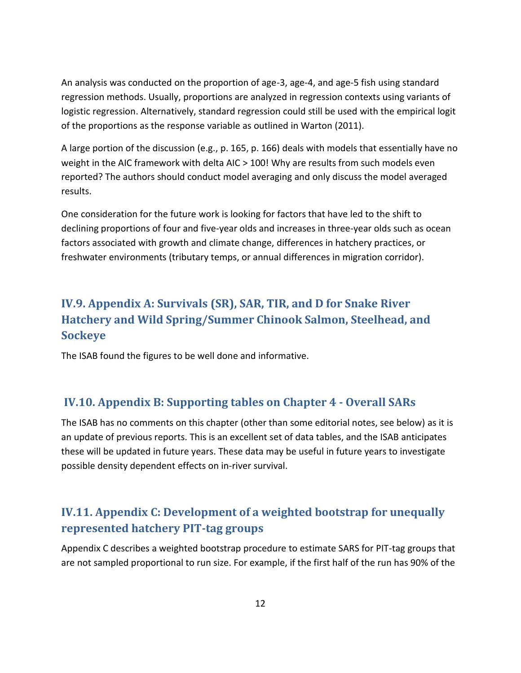An analysis was conducted on the proportion of age-3, age-4, and age-5 fish using standard regression methods. Usually, proportions are analyzed in regression contexts using variants of logistic regression. Alternatively, standard regression could still be used with the empirical logit of the proportions as the response variable as outlined in Warton (2011).

A large portion of the discussion (e.g., p. 165, p. 166) deals with models that essentially have no weight in the AIC framework with delta AIC > 100! Why are results from such models even reported? The authors should conduct model averaging and only discuss the model averaged results.

One consideration for the future work is looking for factors that have led to the shift to declining proportions of four and five-year olds and increases in three-year olds such as ocean factors associated with growth and climate change, differences in hatchery practices, or freshwater environments (tributary temps, or annual differences in migration corridor).

### <span id="page-13-0"></span>**IV.9. Appendix A: Survivals (SR), SAR, TIR, and D for Snake River Hatchery and Wild Spring/Summer Chinook Salmon, Steelhead, and Sockeye**

The ISAB found the figures to be well done and informative.

#### <span id="page-13-1"></span>**IV.10. Appendix B: Supporting tables on Chapter 4 - Overall SARs**

The ISAB has no comments on this chapter (other than some editorial notes, see below) as it is an update of previous reports. This is an excellent set of data tables, and the ISAB anticipates these will be updated in future years. These data may be useful in future years to investigate possible density dependent effects on in-river survival.

#### <span id="page-13-2"></span>**IV.11. Appendix C: Development of a weighted bootstrap for unequally represented hatchery PIT-tag groups**

Appendix C describes a weighted bootstrap procedure to estimate SARS for PIT-tag groups that are not sampled proportional to run size. For example, if the first half of the run has 90% of the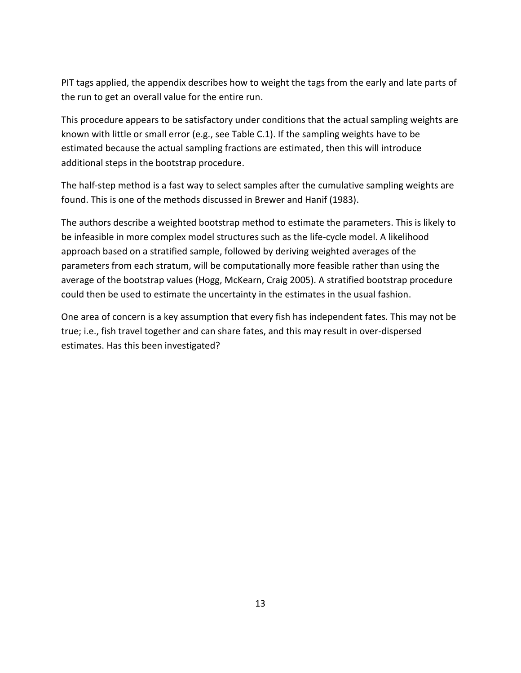PIT tags applied, the appendix describes how to weight the tags from the early and late parts of the run to get an overall value for the entire run.

This procedure appears to be satisfactory under conditions that the actual sampling weights are known with little or small error (e.g., see Table C.1). If the sampling weights have to be estimated because the actual sampling fractions are estimated, then this will introduce additional steps in the bootstrap procedure.

The half-step method is a fast way to select samples after the cumulative sampling weights are found. This is one of the methods discussed in Brewer and Hanif (1983).

The authors describe a weighted bootstrap method to estimate the parameters. This is likely to be infeasible in more complex model structures such as the life-cycle model. A likelihood approach based on a stratified sample, followed by deriving weighted averages of the parameters from each stratum, will be computationally more feasible rather than using the average of the bootstrap values (Hogg, McKearn, Craig 2005). A stratified bootstrap procedure could then be used to estimate the uncertainty in the estimates in the usual fashion.

<span id="page-14-0"></span>One area of concern is a key assumption that every fish has independent fates. This may not be true; i.e., fish travel together and can share fates, and this may result in over-dispersed estimates. Has this been investigated?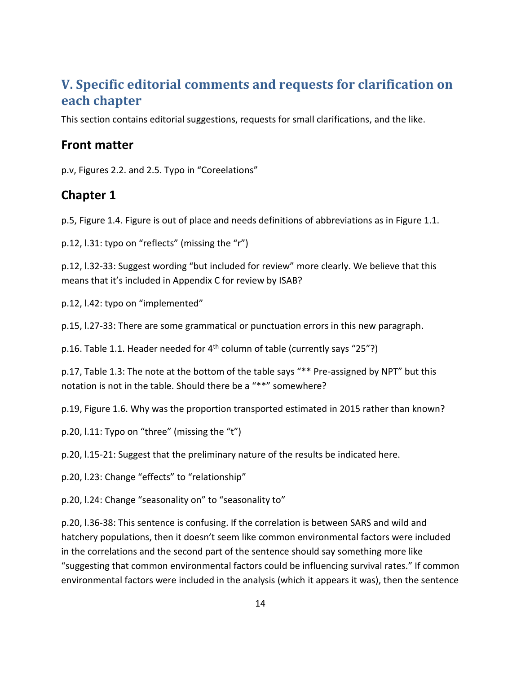### **V. Specific editorial comments and requests for clarification on each chapter**

This section contains editorial suggestions, requests for small clarifications, and the like.

#### **Front matter**

p.v, Figures 2.2. and 2.5. Typo in "Coreelations"

#### **Chapter 1**

p.5, Figure 1.4. Figure is out of place and needs definitions of abbreviations as in Figure 1.1.

p.12, l.31: typo on "reflects" (missing the "r")

p.12, l.32-33: Suggest wording "but included for review" more clearly. We believe that this means that it's included in Appendix C for review by ISAB?

p.12, l.42: typo on "implemented"

p.15, l.27-33: There are some grammatical or punctuation errors in this new paragraph.

p.16. Table 1.1. Header needed for  $4<sup>th</sup>$  column of table (currently says "25"?)

p.17, Table 1.3: The note at the bottom of the table says "\*\* Pre-assigned by NPT" but this notation is not in the table. Should there be a "\*\*" somewhere?

p.19, Figure 1.6. Why was the proportion transported estimated in 2015 rather than known?

p.20, l.11: Typo on "three" (missing the "t")

p.20, l.15-21: Suggest that the preliminary nature of the results be indicated here.

p.20, l.23: Change "effects" to "relationship"

p.20, l.24: Change "seasonality on" to "seasonality to"

p.20, l.36-38: This sentence is confusing. If the correlation is between SARS and wild and hatchery populations, then it doesn't seem like common environmental factors were included in the correlations and the second part of the sentence should say something more like "suggesting that common environmental factors could be influencing survival rates." If common environmental factors were included in the analysis (which it appears it was), then the sentence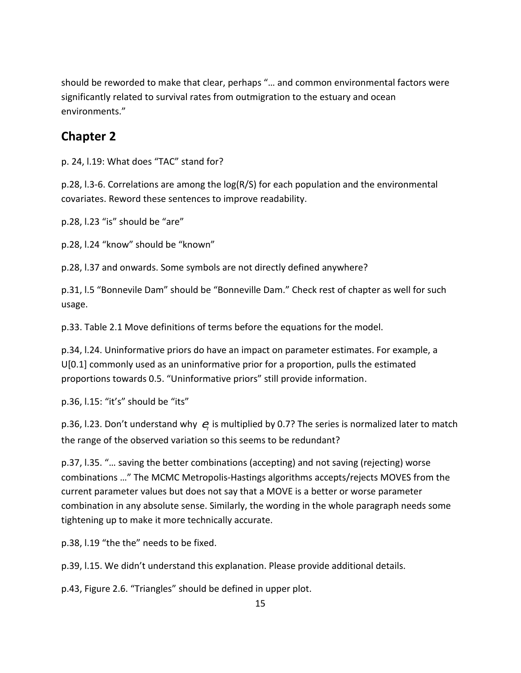should be reworded to make that clear, perhaps "… and common environmental factors were significantly related to survival rates from outmigration to the estuary and ocean environments."

#### **Chapter 2**

p. 24, l.19: What does "TAC" stand for?

p.28, l.3-6. Correlations are among the log(R/S) for each population and the environmental covariates. Reword these sentences to improve readability.

p.28, l.23 "is" should be "are"

p.28, l.24 "know" should be "known"

p.28, l.37 and onwards. Some symbols are not directly defined anywhere?

p.31, l.5 "Bonnevile Dam" should be "Bonneville Dam." Check rest of chapter as well for such usage.

p.33. Table 2.1 Move definitions of terms before the equations for the model.

p.34, l.24. Uninformative priors do have an impact on parameter estimates. For example, a U[0.1] commonly used as an uninformative prior for a proportion, pulls the estimated proportions towards 0.5. "Uninformative priors" still provide information.

p.36, l.15: "it's" should be "its"

p.36, l.23. Don't understand why  $e_t$  is multiplied by 0.7? The series is normalized later to match the range of the observed variation so this seems to be redundant?

p.37, l.35. "… saving the better combinations (accepting) and not saving (rejecting) worse combinations …" The MCMC Metropolis-Hastings algorithms accepts/rejects MOVES from the current parameter values but does not say that a MOVE is a better or worse parameter combination in any absolute sense. Similarly, the wording in the whole paragraph needs some tightening up to make it more technically accurate.

p.38, l.19 "the the" needs to be fixed.

p.39, l.15. We didn't understand this explanation. Please provide additional details.

p.43, Figure 2.6. "Triangles" should be defined in upper plot.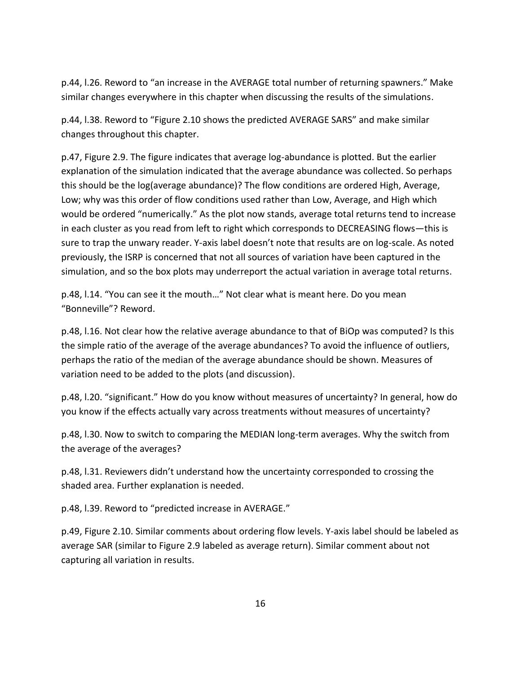p.44, l.26. Reword to "an increase in the AVERAGE total number of returning spawners." Make similar changes everywhere in this chapter when discussing the results of the simulations.

p.44, l.38. Reword to "Figure 2.10 shows the predicted AVERAGE SARS" and make similar changes throughout this chapter.

p.47, Figure 2.9. The figure indicates that average log-abundance is plotted. But the earlier explanation of the simulation indicated that the average abundance was collected. So perhaps this should be the log(average abundance)? The flow conditions are ordered High, Average, Low; why was this order of flow conditions used rather than Low, Average, and High which would be ordered "numerically." As the plot now stands, average total returns tend to increase in each cluster as you read from left to right which corresponds to DECREASING flows—this is sure to trap the unwary reader. Y-axis label doesn't note that results are on log-scale. As noted previously, the ISRP is concerned that not all sources of variation have been captured in the simulation, and so the box plots may underreport the actual variation in average total returns.

p.48, l.14. "You can see it the mouth…" Not clear what is meant here. Do you mean "Bonneville"? Reword.

p.48, l.16. Not clear how the relative average abundance to that of BiOp was computed? Is this the simple ratio of the average of the average abundances? To avoid the influence of outliers, perhaps the ratio of the median of the average abundance should be shown. Measures of variation need to be added to the plots (and discussion).

p.48, l.20. "significant." How do you know without measures of uncertainty? In general, how do you know if the effects actually vary across treatments without measures of uncertainty?

p.48, l.30. Now to switch to comparing the MEDIAN long-term averages. Why the switch from the average of the averages?

p.48, l.31. Reviewers didn't understand how the uncertainty corresponded to crossing the shaded area. Further explanation is needed.

p.48, l.39. Reword to "predicted increase in AVERAGE."

p.49, Figure 2.10. Similar comments about ordering flow levels. Y-axis label should be labeled as average SAR (similar to Figure 2.9 labeled as average return). Similar comment about not capturing all variation in results.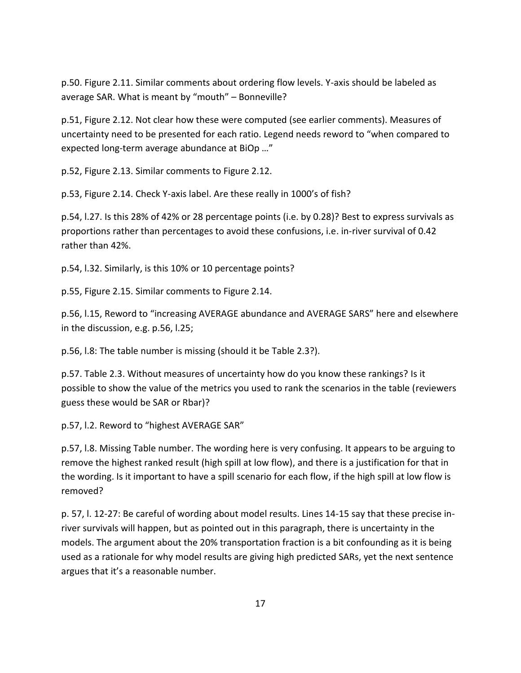p.50. Figure 2.11. Similar comments about ordering flow levels. Y-axis should be labeled as average SAR. What is meant by "mouth" – Bonneville?

p.51, Figure 2.12. Not clear how these were computed (see earlier comments). Measures of uncertainty need to be presented for each ratio. Legend needs reword to "when compared to expected long-term average abundance at BiOp …"

p.52, Figure 2.13. Similar comments to Figure 2.12.

p.53, Figure 2.14. Check Y-axis label. Are these really in 1000's of fish?

p.54, l.27. Is this 28% of 42% or 28 percentage points (i.e. by 0.28)? Best to express survivals as proportions rather than percentages to avoid these confusions, i.e. in-river survival of 0.42 rather than 42%.

p.54, l.32. Similarly, is this 10% or 10 percentage points?

p.55, Figure 2.15. Similar comments to Figure 2.14.

p.56, l.15, Reword to "increasing AVERAGE abundance and AVERAGE SARS" here and elsewhere in the discussion, e.g. p.56, l.25;

p.56, l.8: The table number is missing (should it be Table 2.3?).

p.57. Table 2.3. Without measures of uncertainty how do you know these rankings? Is it possible to show the value of the metrics you used to rank the scenarios in the table (reviewers guess these would be SAR or Rbar)?

p.57, l.2. Reword to "highest AVERAGE SAR"

p.57, l.8. Missing Table number. The wording here is very confusing. It appears to be arguing to remove the highest ranked result (high spill at low flow), and there is a justification for that in the wording. Is it important to have a spill scenario for each flow, if the high spill at low flow is removed?

p. 57, l. 12-27: Be careful of wording about model results. Lines 14-15 say that these precise inriver survivals will happen, but as pointed out in this paragraph, there is uncertainty in the models. The argument about the 20% transportation fraction is a bit confounding as it is being used as a rationale for why model results are giving high predicted SARs, yet the next sentence argues that it's a reasonable number.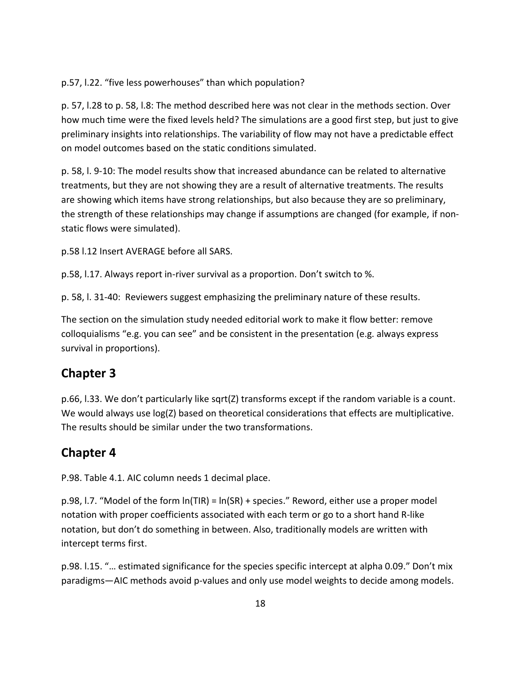p.57, l.22. "five less powerhouses" than which population?

p. 57, l.28 to p. 58, l.8: The method described here was not clear in the methods section. Over how much time were the fixed levels held? The simulations are a good first step, but just to give preliminary insights into relationships. The variability of flow may not have a predictable effect on model outcomes based on the static conditions simulated.

p. 58, l. 9-10: The model results show that increased abundance can be related to alternative treatments, but they are not showing they are a result of alternative treatments. The results are showing which items have strong relationships, but also because they are so preliminary, the strength of these relationships may change if assumptions are changed (for example, if nonstatic flows were simulated).

p.58 l.12 Insert AVERAGE before all SARS.

p.58, l.17. Always report in-river survival as a proportion. Don't switch to %.

p. 58, l. 31-40: Reviewers suggest emphasizing the preliminary nature of these results.

The section on the simulation study needed editorial work to make it flow better: remove colloquialisms "e.g. you can see" and be consistent in the presentation (e.g. always express survival in proportions).

#### **Chapter 3**

p.66, l.33. We don't particularly like sqrt(Z) transforms except if the random variable is a count. We would always use log(Z) based on theoretical considerations that effects are multiplicative. The results should be similar under the two transformations.

#### **Chapter 4**

P.98. Table 4.1. AIC column needs 1 decimal place.

p.98, l.7. "Model of the form ln(TIR) = ln(SR) + species." Reword, either use a proper model notation with proper coefficients associated with each term or go to a short hand R-like notation, but don't do something in between. Also, traditionally models are written with intercept terms first.

p.98. l.15. "… estimated significance for the species specific intercept at alpha 0.09." Don't mix paradigms—AIC methods avoid p-values and only use model weights to decide among models.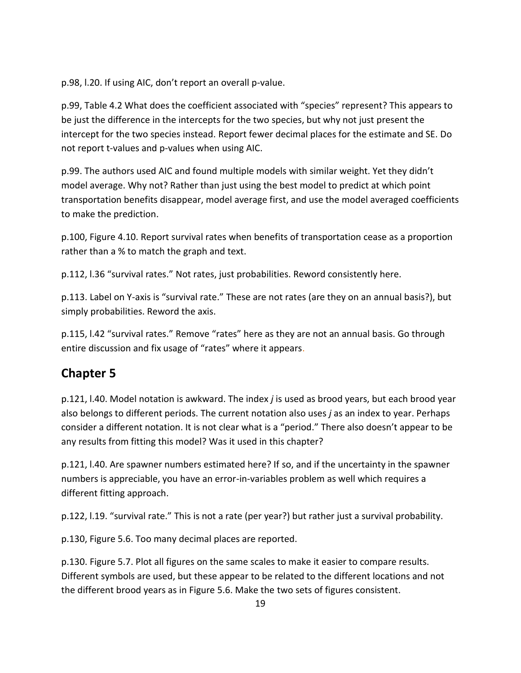p.98, l.20. If using AIC, don't report an overall p-value.

p.99, Table 4.2 What does the coefficient associated with "species" represent? This appears to be just the difference in the intercepts for the two species, but why not just present the intercept for the two species instead. Report fewer decimal places for the estimate and SE. Do not report t-values and p-values when using AIC.

p.99. The authors used AIC and found multiple models with similar weight. Yet they didn't model average. Why not? Rather than just using the best model to predict at which point transportation benefits disappear, model average first, and use the model averaged coefficients to make the prediction.

p.100, Figure 4.10. Report survival rates when benefits of transportation cease as a proportion rather than a % to match the graph and text.

p.112, l.36 "survival rates." Not rates, just probabilities. Reword consistently here.

p.113. Label on Y-axis is "survival rate." These are not rates (are they on an annual basis?), but simply probabilities. Reword the axis.

p.115, l.42 "survival rates." Remove "rates" here as they are not an annual basis. Go through entire discussion and fix usage of "rates" where it appears.

#### **Chapter 5**

p.121, l.40. Model notation is awkward. The index *j* is used as brood years, but each brood year also belongs to different periods. The current notation also uses *j* as an index to year. Perhaps consider a different notation. It is not clear what is a "period." There also doesn't appear to be any results from fitting this model? Was it used in this chapter?

p.121, l.40. Are spawner numbers estimated here? If so, and if the uncertainty in the spawner numbers is appreciable, you have an error-in-variables problem as well which requires a different fitting approach.

p.122, l.19. "survival rate." This is not a rate (per year?) but rather just a survival probability.

p.130, Figure 5.6. Too many decimal places are reported.

p.130. Figure 5.7. Plot all figures on the same scales to make it easier to compare results. Different symbols are used, but these appear to be related to the different locations and not the different brood years as in Figure 5.6. Make the two sets of figures consistent.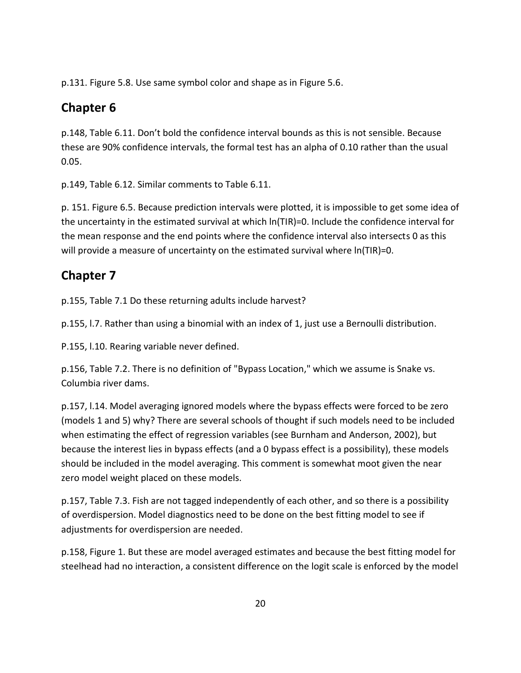p.131. Figure 5.8. Use same symbol color and shape as in Figure 5.6.

## **Chapter 6**

p.148, Table 6.11. Don't bold the confidence interval bounds as this is not sensible. Because these are 90% confidence intervals, the formal test has an alpha of 0.10 rather than the usual 0.05.

p.149, Table 6.12. Similar comments to Table 6.11.

p. 151. Figure 6.5. Because prediction intervals were plotted, it is impossible to get some idea of the uncertainty in the estimated survival at which ln(TIR)=0. Include the confidence interval for the mean response and the end points where the confidence interval also intersects 0 as this will provide a measure of uncertainty on the estimated survival where  $ln(TIR)=0$ .

#### **Chapter 7**

p.155, Table 7.1 Do these returning adults include harvest?

p.155, l.7. Rather than using a binomial with an index of 1, just use a Bernoulli distribution.

P.155, l.10. Rearing variable never defined.

p.156, Table 7.2. There is no definition of "Bypass Location," which we assume is Snake vs. Columbia river dams.

p.157, l.14. Model averaging ignored models where the bypass effects were forced to be zero (models 1 and 5) why? There are several schools of thought if such models need to be included when estimating the effect of regression variables (see Burnham and Anderson, 2002), but because the interest lies in bypass effects (and a 0 bypass effect is a possibility), these models should be included in the model averaging. This comment is somewhat moot given the near zero model weight placed on these models.

p.157, Table 7.3. Fish are not tagged independently of each other, and so there is a possibility of overdispersion. Model diagnostics need to be done on the best fitting model to see if adjustments for overdispersion are needed.

p.158, Figure 1. But these are model averaged estimates and because the best fitting model for steelhead had no interaction, a consistent difference on the logit scale is enforced by the model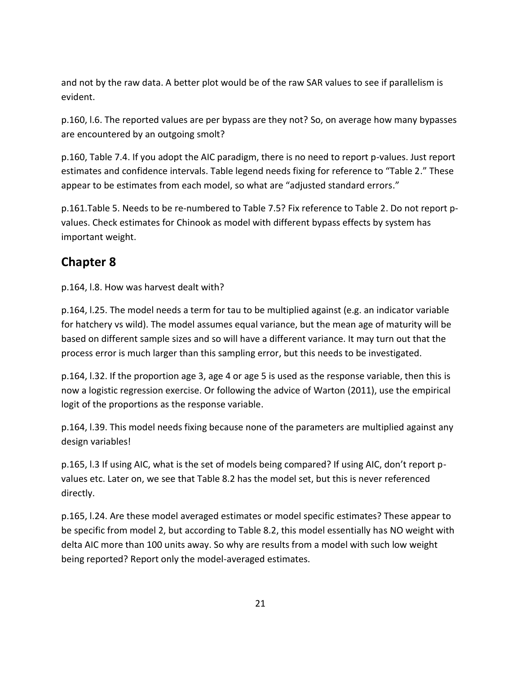and not by the raw data. A better plot would be of the raw SAR values to see if parallelism is evident.

p.160, l.6. The reported values are per bypass are they not? So, on average how many bypasses are encountered by an outgoing smolt?

p.160, Table 7.4. If you adopt the AIC paradigm, there is no need to report p-values. Just report estimates and confidence intervals. Table legend needs fixing for reference to "Table 2." These appear to be estimates from each model, so what are "adjusted standard errors."

p.161.Table 5. Needs to be re-numbered to Table 7.5? Fix reference to Table 2. Do not report pvalues. Check estimates for Chinook as model with different bypass effects by system has important weight.

#### **Chapter 8**

p.164, l.8. How was harvest dealt with?

p.164, l.25. The model needs a term for tau to be multiplied against (e.g. an indicator variable for hatchery vs wild). The model assumes equal variance, but the mean age of maturity will be based on different sample sizes and so will have a different variance. It may turn out that the process error is much larger than this sampling error, but this needs to be investigated.

p.164, l.32. If the proportion age 3, age 4 or age 5 is used as the response variable, then this is now a logistic regression exercise. Or following the advice of Warton (2011), use the empirical logit of the proportions as the response variable.

p.164, l.39. This model needs fixing because none of the parameters are multiplied against any design variables!

p.165, l.3 If using AIC, what is the set of models being compared? If using AIC, don't report pvalues etc. Later on, we see that Table 8.2 has the model set, but this is never referenced directly.

p.165, l.24. Are these model averaged estimates or model specific estimates? These appear to be specific from model 2, but according to Table 8.2, this model essentially has NO weight with delta AIC more than 100 units away. So why are results from a model with such low weight being reported? Report only the model-averaged estimates.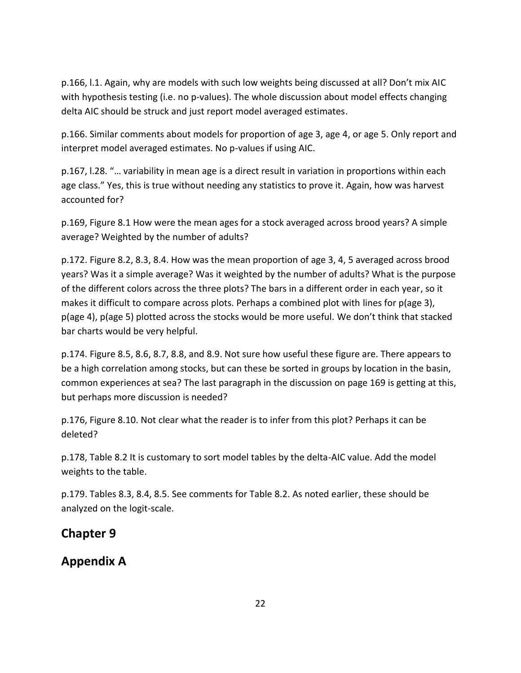p.166, l.1. Again, why are models with such low weights being discussed at all? Don't mix AIC with hypothesis testing (i.e. no p-values). The whole discussion about model effects changing delta AIC should be struck and just report model averaged estimates.

p.166. Similar comments about models for proportion of age 3, age 4, or age 5. Only report and interpret model averaged estimates. No p-values if using AIC.

p.167, l.28. "… variability in mean age is a direct result in variation in proportions within each age class." Yes, this is true without needing any statistics to prove it. Again, how was harvest accounted for?

p.169, Figure 8.1 How were the mean ages for a stock averaged across brood years? A simple average? Weighted by the number of adults?

p.172. Figure 8.2, 8.3, 8.4. How was the mean proportion of age 3, 4, 5 averaged across brood years? Was it a simple average? Was it weighted by the number of adults? What is the purpose of the different colors across the three plots? The bars in a different order in each year, so it makes it difficult to compare across plots. Perhaps a combined plot with lines for p(age 3), p(age 4), p(age 5) plotted across the stocks would be more useful. We don't think that stacked bar charts would be very helpful.

p.174. Figure 8.5, 8.6, 8.7, 8.8, and 8.9. Not sure how useful these figure are. There appears to be a high correlation among stocks, but can these be sorted in groups by location in the basin, common experiences at sea? The last paragraph in the discussion on page 169 is getting at this, but perhaps more discussion is needed?

p.176, Figure 8.10. Not clear what the reader is to infer from this plot? Perhaps it can be deleted?

p.178, Table 8.2 It is customary to sort model tables by the delta-AIC value. Add the model weights to the table.

p.179. Tables 8.3, 8.4, 8.5. See comments for Table 8.2. As noted earlier, these should be analyzed on the logit-scale.

#### **Chapter 9**

#### **Appendix A**